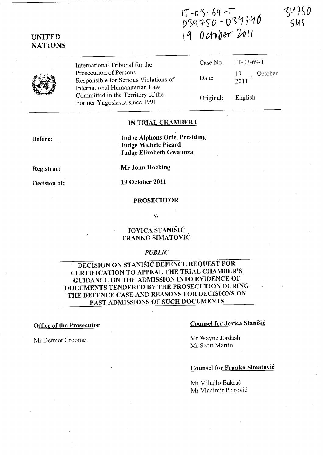# IT *-0)- 6q* ,-,  $0.34750 - 039740$ (q 0 *rA1>ww* ~{(





UNITED **NATIONS** 

> International Tribunal for the Prosecution of Persons Responsible for Serious Violations of International Humanitarian Law Committed in the Territory of the Former Yugoslavia since 1991

| Case No. | $IT-03-69-T$                      |
|----------|-----------------------------------|
| Date:    | October<br>19<br>$\frac{1}{2011}$ |
|          |                                   |

Original: English

### IN TRIAL CHAMBER I

Before:

Judge Alphons Orie, Presiding Judge Michele Picard Judge Elizabeth Gwaunza

Registrar:

Mr John Hocking

Decision of: 19 October 2011

#### PROSECUTOR

v.

## JOVICA STANISIC FRANKO SIMATOVIC

#### *PUBLIC*

DECISION ON STANISIC DEFENCE REQUEST FOR CERTIFICATION TO APPEAL THE TRIAL CHAMBER'S GUIDANCE ON THE ADMISSION INTO EVIDENCE OF DOCUMENTS TENDERED BY THE PROSECUTION DURING THE DEFENCE CASE AND REASONS FOR DECISIONS ON PAST ADMISSIONS OF SUCH DOCUMENTS

#### Office of the Prosecutor

Mr Dermot Groome

### Counsel for Jovica Stanisic

Mr Wayne Jordash Mr Scott Martin

# Counsel for Franko Simatovic

Mr Mihajlo Bakrač Mr Vladimir Petrović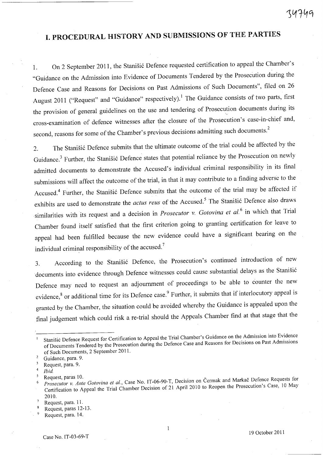# **I. PROCEDURAL HISTORY AND SUBMISSIONS OF** THE **PARTIES**

1. On 2 September 2011, the Stanišić Defence requested certification to appeal the Chamber's "Guidance on the Admission into Evidence of Documents Tendered by the Prosecution during the Defence Case and Reasons for Decisions on Past Admissions of Such Documents", filed on 26 August 2011 ("Request" and "Guidance" respectively).<sup>1</sup> The Guidance consists of two parts, first the provision of general guidelines on the use and tendering of Prosecution documents during its cross-examination of defence witnesses after the closure of the Prosecution's case-in-chief and, second, reasons for some of the Chamber's previous decisions admitting such documents.<sup>2</sup>

2. The Stanišić Defence submits that the ultimate outcome of the trial could be affected by the Guidance.<sup>3</sup> Further, the Stanišić Defence states that potential reliance by the Prosecution on newly admitted documents to demonstrate the Accused's individual criminal responsibility in its final submissions will affect the outcome of the trial, in that it may contribute to a finding adverse to the Accused.<sup>4</sup> Further, the Stanišić Defence submits that the outcome of the trial may be affected if exhibits are used to demonstrate the *actus reus* of the Accused.<sup>5</sup> The Stanišić Defence also draws similarities with its request and a decision in *Prosecutor* v. *Gotovina et al.* 6 in which that Trial Chamber found itself satisfied that the first criterion going to granting certification for leave to appeal had been fulfilled because the new evidence could have a significant bearing on the individual criminal responsibility of the accused.<sup>7</sup>

3. According to the Stanišić Defence, the Prosecution's continued introduction of new documents into evidence through Defence witnesses could cause substantial delays as the Stanišić Defence may need to request an adjournment of proceedings to be able to counter the new evidence,<sup>8</sup> or additional time for its Defence case.<sup>9</sup> Further, it submits that if interlocutory appeal is granted by the Chamber, the situation could be avoided whereby the Guidance is appealed upon the final judgement which could risk a re-trial should the Appeals Chamber find at that stage that the

Stanišić Defence Request for Certification to Appeal the Trial Chamber's Guidance on the Admission into Evidence of Documents Tendered by the Prosecution during the Defence Case and Reasons for Decisions on Past Admissions of Such'Documents, 2 September 2011.

<sup>&</sup>lt;sup>2</sup> Guidance, para. 9.

 $\frac{3}{4}$  Request, para. 9.

*<sup>4</sup>lbid* 

<sup>&</sup>lt;sup>5</sup> Request, paras 10.<br><sup>6</sup> *Prosecutor v. Ante Gotovina et al.*, Case No. IT-06-90-T, Decision on Čermak and Markač Defence Requests for Certification to Appeal the Trial Chamber Decision of 21 April 2010 to Reopen the Prosecution's Case, 10 May 2010.

Request, para. 11.

Request, paras 12-13.

Request, para. 14.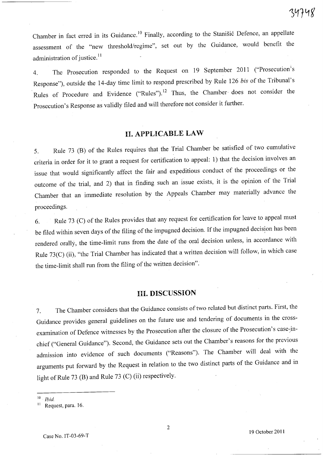Chamber in fact erred in its Guidance.<sup>10</sup> Finally, according to the Stanišić Defence, an appellate assessment of the "new threshold/regime", set out by the Guidance, would benefit the administration of justice.<sup>11</sup>

4. The Prosecution responded to the Request on 19 September 2011 ("Prosecution's Response"), outside the 14-day time limit to respond prescribed by Rule 126 *bis* of the Tribunal's Rules of Procedure and Evidence ("Rules").<sup>12</sup> Thus, the Chamber does not consider the Prosecution's Response as validly filed and will therefore not consider it further.

# H. APPLICABLE LAW

5. Rule 73 (B) of the Rules requires that the Trial Chamber be satisfied of two cumulative criteria in order for it to grant a request for certification to appeal: 1) that the decision involves an issue that would significantly affect the fair and expeditious conduct of the proceedings or the outcome of the trial, and 2) that in finding such an issue exists, it is the opinion of the Trial Chamber that an immediate resolution by the Appeals Chamber may materially advance the proceedings.

6. Rule 73 (C) of the Rules provides that any request for certification for leave to appeal must be filed within seven days of the filing of the impugned decision. If the impugned decision has been rendered orally, the time-limit runs from the date of the oral decision unless, in accordance with Rule 73(C) (ii), "the Trial Chamber has indicated that a written decision will follow, in which case the time-limit shall run from the filing of the written decision".

## Ill. DISCUSSION

7. The Chamber considers that the Guidance consists of two related but distinct parts. First, the Guidance provides general guidelines on the future use and tendering of docuinents in the crossexamination of Defence witnesses by the Prosecution after the closure of the Prosecution's case-inchief ("General Guidance"). Second, the Guidance sets out the Chamber's reasons for the previous admission into evidence of such documents ("Reasons"). The Chamber will deal with the arguments put forward by the Request in relation to the two distinct parts of the Guidance and in light of Rule 73 (B) and Rule 73 (C) (ii) respectively.

 $10$  *Ibid.* 

<sup>&</sup>lt;sup>11</sup> Request, para. 16.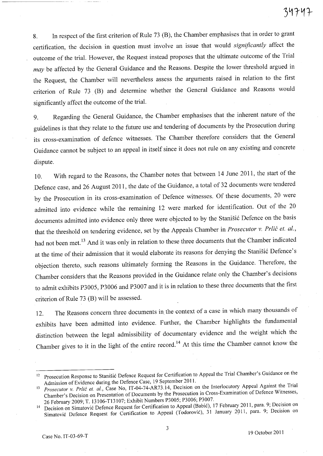8. In respect of the first criterion of Rule 73 (B), the Chamber emphasises that in order to grant certification, the decision in question must involve an issue that would *significantly* affect the outcome of the trial. However, the Request instead proposes that the ultimate outcome of the Trial *may* be affected by the General Guidance and the Reasons. Despite the lower threshold argued in the Request, the Chamber will nevertheless assess the arguments raised in relation to the first criterion of Rule 73 (B) and determine whether the General Guidance and Reasons would significantly affect the outcome of the trial.

9. Regarding the General Guidance, the Chamber emphasises that the inherent nature of the guidelines is that they relate to the future use and tendering of documents by the Prosecution during its cross-examination of defence witnesses. The Chamber therefore considers that the General Guidance cannot be subject to an appeal in itself since it does not rule on any existing and concrete dispute.

10. With regard to the Reasons, the Chamber notes that between 14 June 2011, the start of the Defence case, and 26 August 2011, the date of the Guidance, a total of 32 documents were tendered by the Prosecution in its cross-examination of Defence witnesses. Of these documents, 20 were admitted into evidence while the remaining 12 were marked for identification. Out of the 20 documents admitted into evidence only three were objected to by the Stanišić Defence on the basis that the threshold on tendering evidence, set by the Appeals Chamber in *Prosecutor v. Prlić et. al.*, had not been met.<sup>13</sup> And it was only in relation to these three documents that the Chamber indicated at the time of their admission that it would elaborate its reasons for denying the Stanišić Defence's objection thereto, such reasons ultimately forming the Reasons in the Guidance. Therefore, the Chamber considers that the Reasons provided in the Guidance relate only the Chamber's decisions to admit exhibits P3005, P3006 and P3007 and it is in relation to these three documents that the first criterion of Rule 73 (B) will be assessed.

12. The Reasons concern three documents in the context of a case in which many thousands of exhibits have been admitted into evidence. Further, the Chamber highlights the fundamental distinction between the legal admissibility of documentary evidence and the weight which the Chamber gives to it in the light of the entire record. 14 At this time the Chamber cannot know the

<sup>&</sup>lt;sup>12</sup> Prosecution Response to Stanišić Defence Request for Certification to Appeal the Trial Chamber's Guidance on the Admission of Evidence during the Defence Case, 19 September 2011.

<sup>&</sup>lt;sup>13</sup> Prosecutor v. Prlić et. al., Case No, IT-04-74-AR73.14, Decision on the Interlocutory Appeal Against the Trial Chamber's Decision on Presentation of Documents by the Prosecution in Cross-Examination of Defence Witnesses, 26 February 2009; T. 13106-T13107; Exhibit Numbers P3005; P3006; P3007.

<sup>&</sup>lt;sup>14</sup> Decision on Simatović Defence Request for Certification to Appeal (Babić), 17 February 2011, para. 9; Decision on Simatovic Defence Request for Certification to Appeal (Todorovic), 31 January 2011, para. 9; Decision on